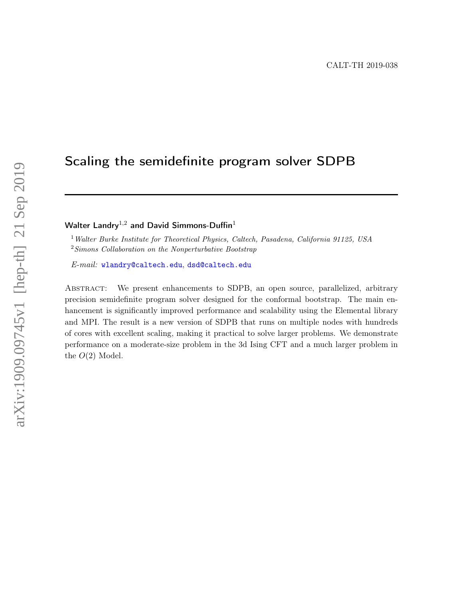# Scaling the semidefinite program solver SDPB

Walter Landry<sup>1,2</sup> and David Simmons-Duffin<sup>1</sup>

<sup>1</sup> Walter Burke Institute for Theoretical Physics, Caltech, Pasadena, California 91125, USA <sup>2</sup>Simons Collaboration on the Nonperturbative Bootstrap

E-mail: [wlandry@caltech.edu](mailto:wlandry@caltech.edu), [dsd@caltech.edu](mailto:dsd@caltech.edu)

Abstract: We present enhancements to SDPB, an open source, parallelized, arbitrary precision semidefinite program solver designed for the conformal bootstrap. The main enhancement is significantly improved performance and scalability using the Elemental library and MPI. The result is a new version of SDPB that runs on multiple nodes with hundreds of cores with excellent scaling, making it practical to solve larger problems. We demonstrate performance on a moderate-size problem in the 3d Ising CFT and a much larger problem in the  $O(2)$  Model.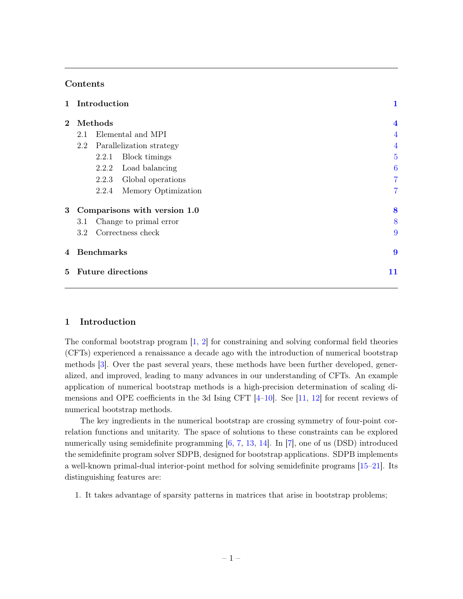## Contents

| $\mathbf{1}$   |                          | Introduction                 |                     | 1              |                |
|----------------|--------------------------|------------------------------|---------------------|----------------|----------------|
| $\overline{2}$ | Methods                  |                              |                     |                |                |
|                | Elemental and MPI<br>2.1 |                              |                     |                | $\overline{4}$ |
|                | 2.2                      | Parallelization strategy     | 4                   |                |                |
|                |                          | 2.2.1                        | Block timings       | $\overline{5}$ |                |
|                |                          | 2.2.2                        | Load balancing      | 6              |                |
|                |                          | 2.2.3                        | Global operations   | $\overline{7}$ |                |
|                |                          | 2.2.4                        | Memory Optimization | 7              |                |
| 3              |                          | Comparisons with version 1.0 | 8                   |                |                |
|                | 3.1                      | 8                            |                     |                |                |
|                | 3.2 <sub>1</sub>         | 9                            |                     |                |                |
| 4              | <b>Benchmarks</b>        | $\boldsymbol{9}$             |                     |                |                |
| 5              | 11                       |                              |                     |                |                |

# <span id="page-1-0"></span>1 Introduction

The conformal bootstrap program [\[1,](#page-13-0) [2\]](#page-13-1) for constraining and solving conformal field theories (CFTs) experienced a renaissance a decade ago with the introduction of numerical bootstrap methods [\[3\]](#page-13-2). Over the past several years, these methods have been further developed, generalized, and improved, leading to many advances in our understanding of CFTs. An example application of numerical bootstrap methods is a high-precision determination of scaling dimensions and OPE coefficients in the 3d Ising CFT  $[4-10]$  $[4-10]$ . See  $[11, 12]$  $[11, 12]$  $[11, 12]$  for recent reviews of numerical bootstrap methods.

The key ingredients in the numerical bootstrap are crossing symmetry of four-point correlation functions and unitarity. The space of solutions to these constraints can be explored numerically using semidefinite programming  $[6, 7, 13, 14]$  $[6, 7, 13, 14]$  $[6, 7, 13, 14]$  $[6, 7, 13, 14]$  $[6, 7, 13, 14]$  $[6, 7, 13, 14]$  $[6, 7, 13, 14]$ . In [\[7\]](#page-13-8), one of us (DSD) introduced the semidefinite program solver SDPB, designed for bootstrap applications. SDPB implements a well-known primal-dual interior-point method for solving semidefinite programs [\[15–](#page-14-2)[21\]](#page-14-3). Its distinguishing features are:

1. It takes advantage of sparsity patterns in matrices that arise in bootstrap problems;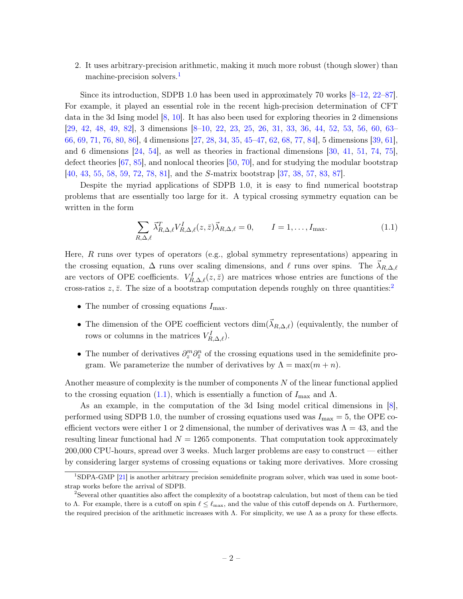2. It uses arbitrary-precision arithmetic, making it much more robust (though slower) than machine-precision solvers.<sup>[1](#page-2-0)</sup>

Since its introduction, SDPB 1.0 has been used in approximately 70 works [\[8–](#page-13-9)[12,](#page-13-6) [22–](#page-14-4)[87\]](#page-17-0). For example, it played an essential role in the recent high-precision determination of CFT data in the 3d Ising model [\[8,](#page-13-9) [10\]](#page-13-4). It has also been used for exploring theories in 2 dimensions [\[29,](#page-14-5) [42,](#page-15-0) [48,](#page-15-1) [49,](#page-16-0) [82\]](#page-17-1), 3 dimensions [\[8–](#page-13-9)[10,](#page-13-4) [22,](#page-14-4) [23,](#page-14-6) [25,](#page-14-7) [26,](#page-14-8) [31,](#page-15-2) [33,](#page-15-3) [36,](#page-15-4) [44,](#page-15-5) [52,](#page-16-1) [53,](#page-16-2) [56,](#page-16-3) [60,](#page-16-4) [63–](#page-16-5) [66,](#page-16-6) [69,](#page-17-2) [71,](#page-17-3) [76,](#page-17-4) [80,](#page-17-5) [86\]](#page-17-6), 4 dimensions [\[27,](#page-14-9) [28,](#page-14-10) [34,](#page-15-6) [35,](#page-15-7) [45–](#page-15-8)[47,](#page-15-9) [62,](#page-16-7) [68,](#page-17-7) [77,](#page-17-8) [84\]](#page-17-9), 5 dimensions [\[39,](#page-15-10) [61\]](#page-16-8), and 6 dimensions [\[24,](#page-14-11) [54\]](#page-16-9), as well as theories in fractional dimensions [\[30,](#page-15-11) [41,](#page-15-12) [51,](#page-16-10) [74,](#page-17-10) [75\]](#page-17-11), defect theories [\[67,](#page-16-11) [85\]](#page-17-12), and nonlocal theories [\[50,](#page-16-12) [70\]](#page-17-13), and for studying the modular bootstrap [\[40,](#page-15-13) [43,](#page-15-14) [55,](#page-16-13) [58,](#page-16-14) [59,](#page-16-15) [72,](#page-17-14) [78,](#page-17-15) [81\]](#page-17-16), and the S-matrix bootstrap [\[37,](#page-15-15) [38,](#page-15-16) [57,](#page-16-16) [83,](#page-17-17) [87\]](#page-17-0).

Despite the myriad applications of SDPB 1.0, it is easy to find numerical bootstrap problems that are essentially too large for it. A typical crossing symmetry equation can be written in the form

<span id="page-2-2"></span>
$$
\sum_{R,\Delta,\ell} \vec{\lambda}_{R,\Delta,\ell}^T V_{R,\Delta,\ell}^I(z,\bar{z}) \vec{\lambda}_{R,\Delta,\ell} = 0, \qquad I = 1,\ldots, I_{\text{max}}.\tag{1.1}
$$

Here,  $R$  runs over types of operators (e.g., global symmetry representations) appearing in the crossing equation,  $\Delta$  runs over scaling dimensions, and  $\ell$  runs over spins. The  $\lambda_{R,\Delta,\ell}$ are vectors of OPE coefficients.  $V_{R,\Delta,\ell}^I(z,\bar{z})$  are matrices whose entries are functions of the cross-ratios  $z, \bar{z}$ . The size of a bootstrap computation depends roughly on three quantities:<sup>[2](#page-2-1)</sup>

- The number of crossing equations  $I_{\text{max}}$ .
- The dimension of the OPE coefficient vectors  $\dim(\vec{\lambda}_{R,\Delta,\ell})$  (equivalently, the number of rows or columns in the matrices  $V_{R,\Delta,\ell}^I$ .
- The number of derivatives  $\partial_z^m \partial_{\bar{z}}^n$  of the crossing equations used in the semidefinite program. We parameterize the number of derivatives by  $\Lambda = \max(m + n)$ .

Another measure of complexity is the number of components  $N$  of the linear functional applied to the crossing equation [\(1.1\)](#page-2-2), which is essentially a function of  $I_{\text{max}}$  and  $\Lambda$ .

As an example, in the computation of the 3d Ising model critical dimensions in [\[8\]](#page-13-9), performed using SDPB 1.0, the number of crossing equations used was  $I_{\text{max}} = 5$ , the OPE coefficient vectors were either 1 or 2 dimensional, the number of derivatives was  $\Lambda = 43$ , and the resulting linear functional had  $N = 1265$  components. That computation took approximately 200,000 CPU-hours, spread over 3 weeks. Much larger problems are easy to construct — either by considering larger systems of crossing equations or taking more derivatives. More crossing

<span id="page-2-0"></span><sup>1</sup>SDPA-GMP [\[21\]](#page-14-3) is another arbitrary precision semidefinite program solver, which was used in some bootstrap works before the arrival of SDPB.

<span id="page-2-1"></span><sup>2</sup>Several other quantities also affect the complexity of a bootstrap calculation, but most of them can be tied to Λ. For example, there is a cutoff on spin  $\ell \leq \ell_{\text{max}}$ , and the value of this cutoff depends on Λ. Furthermore, the required precision of the arithmetic increases with  $\Lambda$ . For simplicity, we use  $\Lambda$  as a proxy for these effects.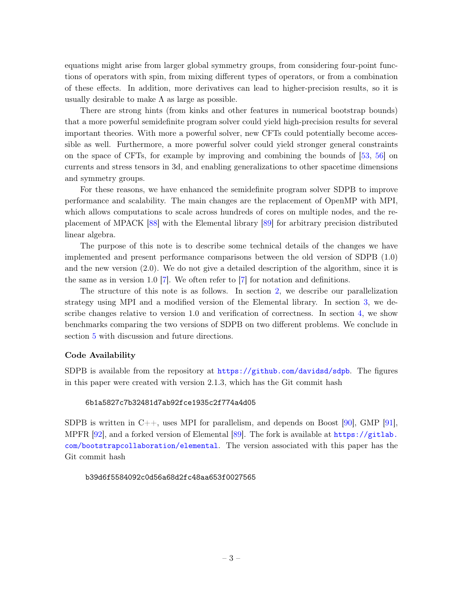equations might arise from larger global symmetry groups, from considering four-point functions of operators with spin, from mixing different types of operators, or from a combination of these effects. In addition, more derivatives can lead to higher-precision results, so it is usually desirable to make  $\Lambda$  as large as possible.

There are strong hints (from kinks and other features in numerical bootstrap bounds) that a more powerful semidefinite program solver could yield high-precision results for several important theories. With more a powerful solver, new CFTs could potentially become accessible as well. Furthermore, a more powerful solver could yield stronger general constraints on the space of CFTs, for example by improving and combining the bounds of [\[53,](#page-16-2) [56\]](#page-16-3) on currents and stress tensors in 3d, and enabling generalizations to other spacetime dimensions and symmetry groups.

For these reasons, we have enhanced the semidefinite program solver SDPB to improve performance and scalability. The main changes are the replacement of OpenMP with MPI, which allows computations to scale across hundreds of cores on multiple nodes, and the replacement of MPACK [\[88\]](#page-17-18) with the Elemental library [\[89\]](#page-17-19) for arbitrary precision distributed linear algebra.

The purpose of this note is to describe some technical details of the changes we have implemented and present performance comparisons between the old version of SDPB (1.0) and the new version (2.0). We do not give a detailed description of the algorithm, since it is the same as in version 1.0 [\[7\]](#page-13-8). We often refer to [\[7\]](#page-13-8) for notation and definitions.

The structure of this note is as follows. In section [2,](#page-4-0) we describe our parallelization strategy using MPI and a modified version of the Elemental library. In section [3,](#page-8-0) we describe changes relative to version 1.0 and verification of correctness. In section [4,](#page-9-1) we show benchmarks comparing the two versions of SDPB on two different problems. We conclude in section [5](#page-11-0) with discussion and future directions.

## Code Availability

SDPB is available from the repository at <https://github.com/davidsd/sdpb>. The figures in this paper were created with version 2.1.3, which has the Git commit hash

## 6b1a5827c7b32481d7ab92fce1935c2f774a4d05

SDPB is written in  $C_{++}$ , uses MPI for parallelism, and depends on Boost [\[90\]](#page-18-0), GMP [\[91\]](#page-18-1), MPFR [\[92\]](#page-18-2), and a forked version of Elemental [\[89\]](#page-17-19). The fork is available at [https://gitlab.](https://gitlab.com/bootstrapcollaboration/elemental) [com/bootstrapcollaboration/elemental](https://gitlab.com/bootstrapcollaboration/elemental). The version associated with this paper has the Git commit hash

b39d6f5584092c0d56a68d2fc48aa653f0027565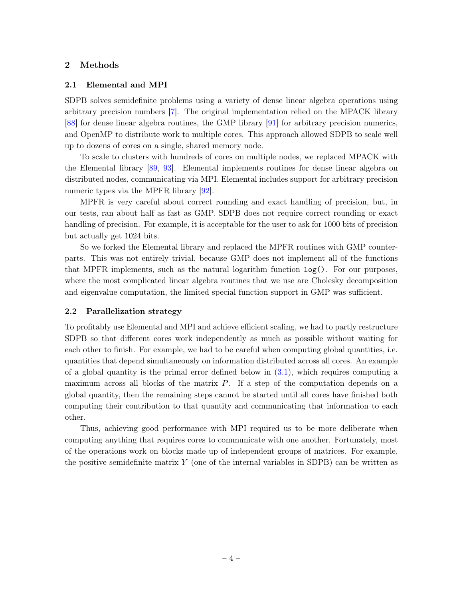## <span id="page-4-0"></span>2 Methods

#### <span id="page-4-1"></span>2.1 Elemental and MPI

SDPB solves semidefinite problems using a variety of dense linear algebra operations using arbitrary precision numbers [\[7\]](#page-13-8). The original implementation relied on the MPACK library [\[88\]](#page-17-18) for dense linear algebra routines, the GMP library [\[91\]](#page-18-1) for arbitrary precision numerics, and OpenMP to distribute work to multiple cores. This approach allowed SDPB to scale well up to dozens of cores on a single, shared memory node.

To scale to clusters with hundreds of cores on multiple nodes, we replaced MPACK with the Elemental library [\[89,](#page-17-19) [93\]](#page-18-3). Elemental implements routines for dense linear algebra on distributed nodes, communicating via MPI. Elemental includes support for arbitrary precision numeric types via the MPFR library [\[92\]](#page-18-2).

MPFR is very careful about correct rounding and exact handling of precision, but, in our tests, ran about half as fast as GMP. SDPB does not require correct rounding or exact handling of precision. For example, it is acceptable for the user to ask for 1000 bits of precision but actually get 1024 bits.

So we forked the Elemental library and replaced the MPFR routines with GMP counterparts. This was not entirely trivial, because GMP does not implement all of the functions that MPFR implements, such as the natural logarithm function  $log()$ . For our purposes, where the most complicated linear algebra routines that we use are Cholesky decomposition and eigenvalue computation, the limited special function support in GMP was sufficient.

## <span id="page-4-2"></span>2.2 Parallelization strategy

To profitably use Elemental and MPI and achieve efficient scaling, we had to partly restructure SDPB so that different cores work independently as much as possible without waiting for each other to finish. For example, we had to be careful when computing global quantities, i.e. quantities that depend simultaneously on information distributed across all cores. An example of a global quantity is the primal error defined below in  $(3.1)$ , which requires computing a maximum across all blocks of the matrix P. If a step of the computation depends on a global quantity, then the remaining steps cannot be started until all cores have finished both computing their contribution to that quantity and communicating that information to each other.

Thus, achieving good performance with MPI required us to be more deliberate when computing anything that requires cores to communicate with one another. Fortunately, most of the operations work on blocks made up of independent groups of matrices. For example, the positive semidefinite matrix  $Y$  (one of the internal variables in SDPB) can be written as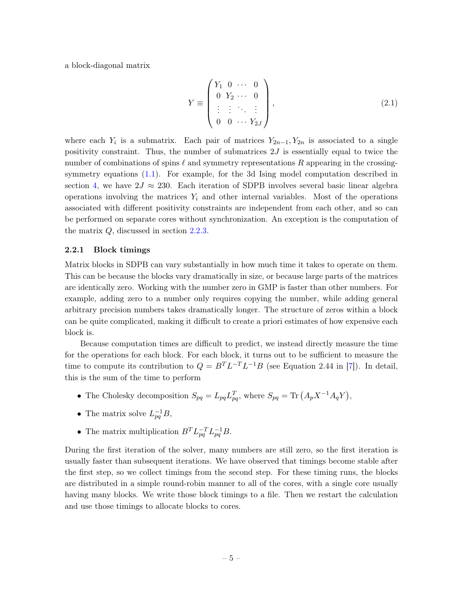a block-diagonal matrix

$$
Y \equiv \begin{pmatrix} Y_1 & 0 & \cdots & 0 \\ 0 & Y_2 & \cdots & 0 \\ \vdots & \vdots & \ddots & \vdots \\ 0 & 0 & \cdots & Y_{2J} \end{pmatrix},
$$
 (2.1)

where each  $Y_i$  is a submatrix. Each pair of matrices  $Y_{2n-1}, Y_{2n}$  is associated to a single positivity constraint. Thus, the number of submatrices  $2J$  is essentially equal to twice the number of combinations of spins  $\ell$  and symmetry representations R appearing in the crossingsymmetry equations [\(1.1\)](#page-2-2). For example, for the 3d Ising model computation described in section [4,](#page-9-1) we have  $2J \approx 230$ . Each iteration of SDPB involves several basic linear algebra operations involving the matrices  $Y_i$  and other internal variables. Most of the operations associated with different positivity constraints are independent from each other, and so can be performed on separate cores without synchronization. An exception is the computation of the matrix  $Q$ , discussed in section [2.2.3.](#page-7-0)

## <span id="page-5-0"></span>2.2.1 Block timings

Matrix blocks in SDPB can vary substantially in how much time it takes to operate on them. This can be because the blocks vary dramatically in size, or because large parts of the matrices are identically zero. Working with the number zero in GMP is faster than other numbers. For example, adding zero to a number only requires copying the number, while adding general arbitrary precision numbers takes dramatically longer. The structure of zeros within a block can be quite complicated, making it difficult to create a priori estimates of how expensive each block is.

Because computation times are difficult to predict, we instead directly measure the time for the operations for each block. For each block, it turns out to be sufficient to measure the time to compute its contribution to  $Q = B^T L^{-T} L^{-1} B$  (see Equation 2.44 in [\[7\]](#page-13-8)). In detail, this is the sum of the time to perform

- The Cholesky decomposition  $S_{pq} = L_{pq} L_{pq}^T$ , where  $S_{pq} = \text{Tr} (A_p X^{-1} A_q Y)$ ,
- The matrix solve  $L_{pq}^{-1}B$ ,
- The matrix multiplication  $B^T L_{pq}^{-T} L_{pq}^{-1} B$ .

During the first iteration of the solver, many numbers are still zero, so the first iteration is usually faster than subsequent iterations. We have observed that timings become stable after the first step, so we collect timings from the second step. For these timing runs, the blocks are distributed in a simple round-robin manner to all of the cores, with a single core usually having many blocks. We write those block timings to a file. Then we restart the calculation and use those timings to allocate blocks to cores.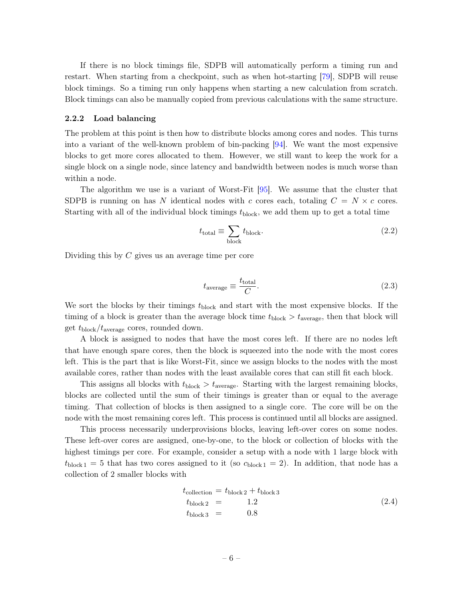If there is no block timings file, SDPB will automatically perform a timing run and restart. When starting from a checkpoint, such as when hot-starting [\[79\]](#page-17-20), SDPB will reuse block timings. So a timing run only happens when starting a new calculation from scratch. Block timings can also be manually copied from previous calculations with the same structure.

#### <span id="page-6-0"></span>2.2.2 Load balancing

The problem at this point is then how to distribute blocks among cores and nodes. This turns into a variant of the well-known problem of bin-packing [\[94\]](#page-18-4). We want the most expensive blocks to get more cores allocated to them. However, we still want to keep the work for a single block on a single node, since latency and bandwidth between nodes is much worse than within a node.

The algorithm we use is a variant of Worst-Fit [\[95\]](#page-18-5). We assume that the cluster that SDPB is running on has N identical nodes with c cores each, totaling  $C = N \times c$  cores. Starting with all of the individual block timings  $t_{\text{block}}$ , we add them up to get a total time

$$
t_{\text{total}} \equiv \sum_{\text{block}} t_{\text{block}}.\tag{2.2}
$$

Dividing this by C gives us an average time per core

$$
t_{\text{average}} \equiv \frac{t_{\text{total}}}{C}.\tag{2.3}
$$

We sort the blocks by their timings  $t_{block}$  and start with the most expensive blocks. If the timing of a block is greater than the average block time  $t_{\text{block}} > t_{\text{average}}$ , then that block will get  $t_{\text{block}}/t_{\text{average}}$  cores, rounded down.

A block is assigned to nodes that have the most cores left. If there are no nodes left that have enough spare cores, then the block is squeezed into the node with the most cores left. This is the part that is like Worst-Fit, since we assign blocks to the nodes with the most available cores, rather than nodes with the least available cores that can still fit each block.

This assigns all blocks with  $t_{\text{block}} > t_{\text{average}}$ . Starting with the largest remaining blocks, blocks are collected until the sum of their timings is greater than or equal to the average timing. That collection of blocks is then assigned to a single core. The core will be on the node with the most remaining cores left. This process is continued until all blocks are assigned.

This process necessarily underprovisions blocks, leaving left-over cores on some nodes. These left-over cores are assigned, one-by-one, to the block or collection of blocks with the highest timings per core. For example, consider a setup with a node with 1 large block with  $t_{\text{block 1}} = 5$  that has two cores assigned to it (so  $c_{\text{block 1}} = 2$ ). In addition, that node has a collection of 2 smaller blocks with

$$
t_{\text{collection}} = t_{\text{block 2}} + t_{\text{block 3}}
$$
  
\n
$$
t_{\text{block 2}} = 1.2
$$
  
\n
$$
t_{\text{block 3}} = 0.8
$$
  
\n(2.4)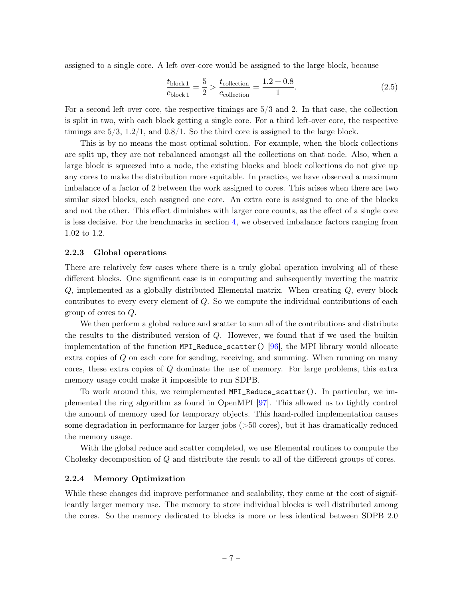assigned to a single core. A left over-core would be assigned to the large block, because

$$
\frac{t_{\text{block}1}}{c_{\text{block}1}} = \frac{5}{2} > \frac{t_{\text{collection}}}{c_{\text{collection}}} = \frac{1.2 + 0.8}{1}.
$$
\n(2.5)

For a second left-over core, the respective timings are 5/3 and 2. In that case, the collection is split in two, with each block getting a single core. For a third left-over core, the respective timings are  $5/3$ ,  $1.2/1$ , and  $0.8/1$ . So the third core is assigned to the large block.

This is by no means the most optimal solution. For example, when the block collections are split up, they are not rebalanced amongst all the collections on that node. Also, when a large block is squeezed into a node, the existing blocks and block collections do not give up any cores to make the distribution more equitable. In practice, we have observed a maximum imbalance of a factor of 2 between the work assigned to cores. This arises when there are two similar sized blocks, each assigned one core. An extra core is assigned to one of the blocks and not the other. This effect diminishes with larger core counts, as the effect of a single core is less decisive. For the benchmarks in section [4,](#page-9-1) we observed imbalance factors ranging from 1.02 to 1.2.

#### <span id="page-7-0"></span>2.2.3 Global operations

There are relatively few cases where there is a truly global operation involving all of these different blocks. One significant case is in computing and subsequently inverting the matrix Q, implemented as a globally distributed Elemental matrix. When creating Q, every block contributes to every every element of Q. So we compute the individual contributions of each group of cores to Q.

We then perform a global reduce and scatter to sum all of the contributions and distribute the results to the distributed version of Q. However, we found that if we used the builtin implementation of the function MPI\_Reduce\_scatter() [\[96\]](#page-18-6), the MPI library would allocate extra copies of Q on each core for sending, receiving, and summing. When running on many cores, these extra copies of Q dominate the use of memory. For large problems, this extra memory usage could make it impossible to run SDPB.

To work around this, we reimplemented MPI\_Reduce\_scatter(). In particular, we implemented the ring algorithm as found in OpenMPI [\[97\]](#page-18-7). This allowed us to tightly control the amount of memory used for temporary objects. This hand-rolled implementation causes some degradation in performance for larger jobs (>50 cores), but it has dramatically reduced the memory usage.

With the global reduce and scatter completed, we use Elemental routines to compute the Cholesky decomposition of Q and distribute the result to all of the different groups of cores.

## <span id="page-7-1"></span>2.2.4 Memory Optimization

While these changes did improve performance and scalability, they came at the cost of significantly larger memory use. The memory to store individual blocks is well distributed among the cores. So the memory dedicated to blocks is more or less identical between SDPB 2.0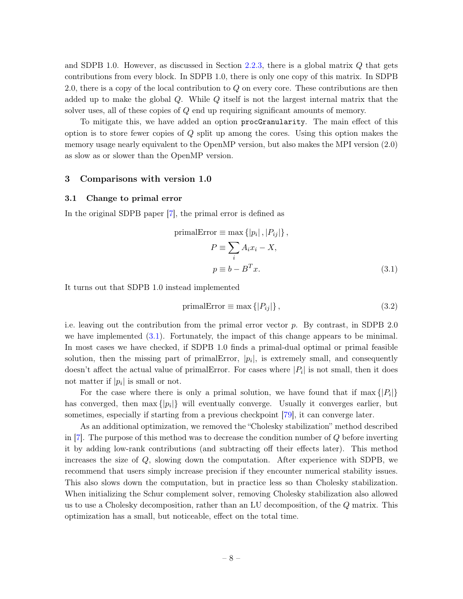and SDPB 1.0. However, as discussed in Section [2.2.3,](#page-7-0) there is a global matrix  $Q$  that gets contributions from every block. In SDPB 1.0, there is only one copy of this matrix. In SDPB 2.0, there is a copy of the local contribution to Q on every core. These contributions are then added up to make the global Q. While Q itself is not the largest internal matrix that the solver uses, all of these copies of Q end up requiring significant amounts of memory.

To mitigate this, we have added an option procGranularity. The main effect of this option is to store fewer copies of Q split up among the cores. Using this option makes the memory usage nearly equivalent to the OpenMP version, but also makes the MPI version (2.0) as slow as or slower than the OpenMP version.

## <span id="page-8-0"></span>3 Comparisons with version 1.0

#### <span id="page-8-1"></span>3.1 Change to primal error

In the original SDPB paper [\[7\]](#page-13-8), the primal error is defined as

$$
\text{primalError} \equiv \max \{|p_i|, |P_{ij}|\},
$$
\n
$$
P \equiv \sum_{i} A_i x_i - X,
$$
\n
$$
p \equiv b - B^T x.
$$
\n(3.1)

It turns out that SDPB 1.0 instead implemented

<span id="page-8-2"></span>
$$
primalError \equiv \max\{|P_{ij}|\},\tag{3.2}
$$

i.e. leaving out the contribution from the primal error vector  $p$ . By contrast, in SDPB 2.0 we have implemented [\(3.1\)](#page-8-2). Fortunately, the impact of this change appears to be minimal. In most cases we have checked, if SDPB 1.0 finds a primal-dual optimal or primal feasible solution, then the missing part of primalError,  $|p_i|$ , is extremely small, and consequently doesn't affect the actual value of primalError. For cases where  $|P_i|$  is not small, then it does not matter if  $|p_i|$  is small or not.

For the case where there is only a primal solution, we have found that if  $\max\{|P_i|\}$ has converged, then  $\max\{|p_i|\}$  will eventually converge. Usually it converges earlier, but sometimes, especially if starting from a previous checkpoint [\[79\]](#page-17-20), it can converge later.

As an additional optimization, we removed the "Cholesky stabilization" method described in [\[7\]](#page-13-8). The purpose of this method was to decrease the condition number of Q before inverting it by adding low-rank contributions (and subtracting off their effects later). This method increases the size of Q, slowing down the computation. After experience with SDPB, we recommend that users simply increase precision if they encounter numerical stability issues. This also slows down the computation, but in practice less so than Cholesky stabilization. When initializing the Schur complement solver, removing Cholesky stabilization also allowed us to use a Cholesky decomposition, rather than an LU decomposition, of the Q matrix. This optimization has a small, but noticeable, effect on the total time.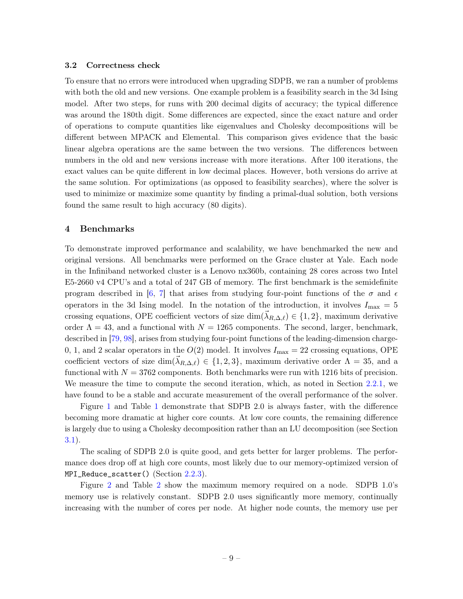#### <span id="page-9-0"></span>3.2 Correctness check

To ensure that no errors were introduced when upgrading SDPB, we ran a number of problems with both the old and new versions. One example problem is a feasibility search in the 3d Ising model. After two steps, for runs with 200 decimal digits of accuracy; the typical difference was around the 180th digit. Some differences are expected, since the exact nature and order of operations to compute quantities like eigenvalues and Cholesky decompositions will be different between MPACK and Elemental. This comparison gives evidence that the basic linear algebra operations are the same between the two versions. The differences between numbers in the old and new versions increase with more iterations. After 100 iterations, the exact values can be quite different in low decimal places. However, both versions do arrive at the same solution. For optimizations (as opposed to feasibility searches), where the solver is used to minimize or maximize some quantity by finding a primal-dual solution, both versions found the same result to high accuracy (80 digits).

## <span id="page-9-1"></span>4 Benchmarks

To demonstrate improved performance and scalability, we have benchmarked the new and original versions. All benchmarks were performed on the Grace cluster at Yale. Each node in the Infiniband networked cluster is a Lenovo nx360b, containing 28 cores across two Intel E5-2660 v4 CPU's and a total of 247 GB of memory. The first benchmark is the semidefinite program described in [\[6,](#page-13-7) [7\]](#page-13-8) that arises from studying four-point functions of the  $\sigma$  and  $\epsilon$ operators in the 3d Ising model. In the notation of the introduction, it involves  $I_{\text{max}} = 5$ crossing equations, OPE coefficient vectors of size  $\dim(\lambda_{R,\Delta,\ell}) \in \{1,2\}$ , maximum derivative order  $\Lambda = 43$ , and a functional with  $N = 1265$  components. The second, larger, benchmark, described in [\[79,](#page-17-20) [98\]](#page-18-8), arises from studying four-point functions of the leading-dimension charge-0, 1, and 2 scalar operators in the  $O(2)$  model. It involves  $I_{\text{max}} = 22$  crossing equations, OPE coefficient vectors of size  $\dim({\tilde{\lambda}}_{R,\Delta,\ell}) \in \{1,2,3\}$ , maximum derivative order  $\Lambda = 35$ , and a functional with  $N = 3762$  components. Both benchmarks were run with 1216 bits of precision. We measure the time to compute the second iteration, which, as noted in Section [2.2.1,](#page-5-0) we have found to be a stable and accurate measurement of the overall performance of the solver.

Figure [1](#page-10-0) and Table [1](#page-10-1) demonstrate that SDPB 2.0 is always faster, with the difference becoming more dramatic at higher core counts. At low core counts, the remaining difference is largely due to using a Cholesky decomposition rather than an LU decomposition (see Section [3.1\)](#page-8-1).

The scaling of SDPB 2.0 is quite good, and gets better for larger problems. The performance does drop off at high core counts, most likely due to our memory-optimized version of MPI\_Reduce\_scatter() (Section [2.2.3\)](#page-7-0).

Figure [2](#page-11-1) and Table [2](#page-11-2) show the maximum memory required on a node. SDPB 1.0's memory use is relatively constant. SDPB 2.0 uses significantly more memory, continually increasing with the number of cores per node. At higher node counts, the memory use per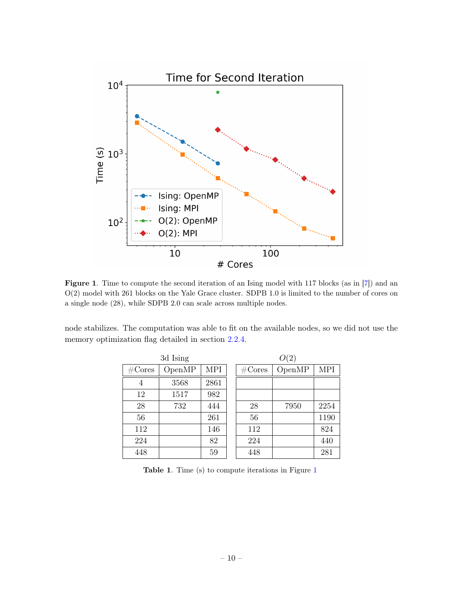

<span id="page-10-0"></span>Figure 1. Time to compute the second iteration of an Ising model with 117 blocks (as in [\[7\]](#page-13-8)) and an O(2) model with 261 blocks on the Yale Grace cluster. SDPB 1.0 is limited to the number of cores on a single node (28), while SDPB 2.0 can scale across multiple nodes.

node stabilizes. The computation was able to fit on the available nodes, so we did not use the memory optimization flag detailed in section [2.2.4.](#page-7-1)

| 3d Ising         |        |      |  | O(2)   |        |      |  |
|------------------|--------|------|--|--------|--------|------|--|
| $\#\text{Cores}$ | OpenMP | MPI  |  | #Cores | OpenMP | MPI  |  |
| $\overline{4}$   | 3568   | 2861 |  |        |        |      |  |
| 12               | 1517   | 982  |  |        |        |      |  |
| 28               | 732    | 444  |  | 28     | 7950   | 2254 |  |
| 56               |        | 261  |  | 56     |        | 1190 |  |
| 112              |        | 146  |  | 112    |        | 824  |  |
| 224              |        | 82   |  | 224    |        | 440  |  |
| 448              |        | 59   |  | 448    |        | 281  |  |

<span id="page-10-1"></span>Table [1](#page-10-0). Time (s) to compute iterations in Figure 1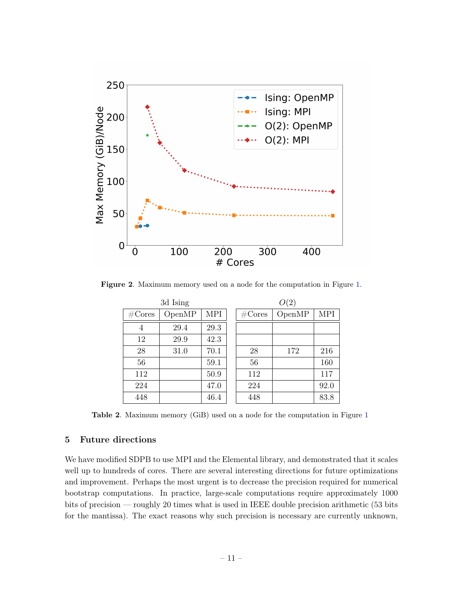

Figure 2. Maximum memory used on a node for the computation in Figure [1.](#page-10-0)

<span id="page-11-1"></span>

| 3d Ising           |        |            |  | O(2)   |        |      |  |
|--------------------|--------|------------|--|--------|--------|------|--|
| $\#\mathrm{Cores}$ | OpenMP | <b>MPI</b> |  | #Cores | OpenMP | MPI  |  |
| 4                  | 29.4   | 29.3       |  |        |        |      |  |
| 12                 | 29.9   | 42.3       |  |        |        |      |  |
| 28                 | 31.0   | 70.1       |  | 28     | 172    | 216  |  |
| 56                 |        | 59.1       |  | 56     |        | 160  |  |
| 112                |        | 50.9       |  | 112    |        | 117  |  |
| 224                |        | 47.0       |  | 224    |        | 92.0 |  |
| 448                |        | 46.4       |  | 448    |        | 83.8 |  |

<span id="page-11-2"></span>Table 2. Maximum memory (GiB) used on a node for the computation in Figure [1](#page-10-0)

## <span id="page-11-0"></span>5 Future directions

We have modified SDPB to use MPI and the Elemental library, and demonstrated that it scales well up to hundreds of cores. There are several interesting directions for future optimizations and improvement. Perhaps the most urgent is to decrease the precision required for numerical bootstrap computations. In practice, large-scale computations require approximately 1000 bits of precision — roughly 20 times what is used in IEEE double precision arithmetic (53 bits for the mantissa). The exact reasons why such precision is necessary are currently unknown,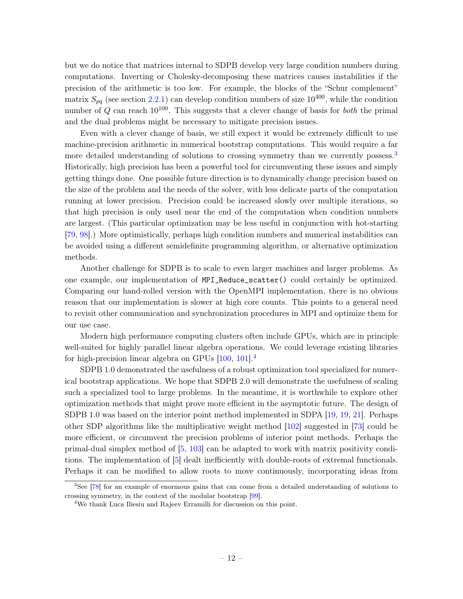but we do notice that matrices internal to SDPB develop very large condition numbers during computations. Inverting or Cholesky-decomposing these matrices causes instabilities if the precision of the arithmetic is too low. For example, the blocks of the "Schur complement" matrix  $S_{pq}$  (see section [2.2.1\)](#page-5-0) can develop condition numbers of size 10<sup>400</sup>, while the condition number of Q can reach  $10^{100}$ . This suggests that a clever change of basis for *both* the primal and the dual problems might be necessary to mitigate precision issues.

Even with a clever change of basis, we still expect it would be extremely difficult to use machine-precision arithmetic in numerical bootstrap computations. This would require a far more detailed understanding of solutions to crossing symmetry than we currently possess.<sup>[3](#page-12-0)</sup> Historically, high precision has been a powerful tool for circumventing these issues and simply getting things done. One possible future direction is to dynamically change precision based on the size of the problem and the needs of the solver, with less delicate parts of the computation running at lower precision. Precision could be increased slowly over multiple iterations, so that high precision is only used near the end of the computation when condition numbers are largest. (This particular optimization may be less useful in conjunction with hot-starting [\[79,](#page-17-20) [98\]](#page-18-8).) More optimistically, perhaps high condition numbers and numerical instabilities can be avoided using a different semidefinite programming algorithm, or alternative optimization methods.

Another challenge for SDPB is to scale to even larger machines and larger problems. As one example, our implementation of MPI\_Reduce\_scatter() could certainly be optimized. Comparing our hand-rolled version with the OpenMPI implementation, there is no obvious reason that our implementation is slower at high core counts. This points to a general need to revisit other communication and synchronization procedures in MPI and optimize them for our use case.

Modern high performance computing clusters often include GPUs, which are in principle well-suited for highly parallel linear algebra operations. We could leverage existing libraries for high-precision linear algebra on GPUs  $[100, 101]$  $[100, 101]$  $[100, 101]$ <sup>[4](#page-12-1)</sup>

SDPB 1.0 demonstrated the usefulness of a robust optimization tool specialized for numerical bootstrap applications. We hope that SDPB 2.0 will demonstrate the usefulness of scaling such a specialized tool to large problems. In the meantime, it is worthwhile to explore other optimization methods that might prove more efficient in the asymptotic future. The design of SDPB 1.0 was based on the interior point method implemented in SDPA [\[19,](#page-14-12) [19,](#page-14-12) [21\]](#page-14-3). Perhaps other SDP algorithms like the multiplicative weight method [\[102\]](#page-18-11) suggested in [\[73\]](#page-17-21) could be more efficient, or circumvent the precision problems of interior point methods. Perhaps the primal-dual simplex method of [\[5,](#page-13-10) [103\]](#page-18-12) can be adapted to work with matrix positivity conditions. The implementation of [\[5\]](#page-13-10) dealt inefficiently with double-roots of extremal functionals. Perhaps it can be modified to allow roots to move continuously, incorporating ideas from

<span id="page-12-0"></span><sup>&</sup>lt;sup>3</sup>See [\[78\]](#page-17-15) for an example of enormous gains that can come from a detailed understanding of solutions to crossing symmetry, in the context of the modular bootstrap [\[99\]](#page-18-13).

<span id="page-12-1"></span><sup>4</sup>We thank Luca Iliesiu and Rajeev Erramilli for discussion on this point.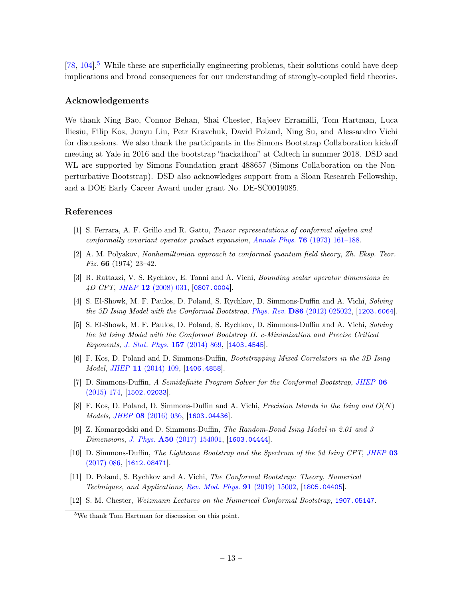$[78, 104]$  $[78, 104]$  $[78, 104]$ .<sup>[5](#page-13-11)</sup> While these are superficially engineering problems, their solutions could have deep implications and broad consequences for our understanding of strongly-coupled field theories.

## Acknowledgements

We thank Ning Bao, Connor Behan, Shai Chester, Rajeev Erramilli, Tom Hartman, Luca Iliesiu, Filip Kos, Junyu Liu, Petr Kravchuk, David Poland, Ning Su, and Alessandro Vichi for discussions. We also thank the participants in the Simons Bootstrap Collaboration kickoff meeting at Yale in 2016 and the bootstrap "hackathon" at Caltech in summer 2018. DSD and WL are supported by Simons Foundation grant 488657 (Simons Collaboration on the Nonperturbative Bootstrap). DSD also acknowledges support from a Sloan Research Fellowship, and a DOE Early Career Award under grant No. DE-SC0019085.

## References

- <span id="page-13-0"></span>[1] S. Ferrara, A. F. Grillo and R. Gatto, Tensor representations of conformal algebra and conformally covariant operator product expansion, Annals Phys. 76 [\(1973\) 161–188.](http://dx.doi.org/10.1016/0003-4916(73)90446-6)
- <span id="page-13-1"></span>[2] A. M. Polyakov, Nonhamiltonian approach to conformal quantum field theory, Zh. Eksp. Teor. Fiz. 66 (1974) 23–42.
- <span id="page-13-2"></span>[3] R. Rattazzi, V. S. Rychkov, E. Tonni and A. Vichi, Bounding scalar operator dimensions in 4D CFT, JHEP 12 [\(2008\) 031,](http://dx.doi.org/10.1088/1126-6708/2008/12/031) [[0807.0004](https://arxiv.org/abs/0807.0004)].
- <span id="page-13-3"></span>[4] S. El-Showk, M. F. Paulos, D. Poland, S. Rychkov, D. Simmons-Duffin and A. Vichi, Solving the 3D Ising Model with the Conformal Bootstrap, Phys. Rev. D86 [\(2012\) 025022,](http://dx.doi.org/10.1103/PhysRevD.86.025022) [[1203.6064](https://arxiv.org/abs/1203.6064)].
- <span id="page-13-10"></span>[5] S. El-Showk, M. F. Paulos, D. Poland, S. Rychkov, D. Simmons-Duffin and A. Vichi, Solving the 3d Ising Model with the Conformal Bootstrap II. c-Minimization and Precise Critical Exponents, [J. Stat. Phys.](http://dx.doi.org/10.1007/s10955-014-1042-7) 157 (2014) 869, [[1403.4545](https://arxiv.org/abs/1403.4545)].
- <span id="page-13-7"></span>[6] F. Kos, D. Poland and D. Simmons-Duffin, Bootstrapping Mixed Correlators in the 3D Ising Model, JHEP 11 [\(2014\) 109,](http://dx.doi.org/10.1007/JHEP11(2014)109) [[1406.4858](https://arxiv.org/abs/1406.4858)].
- <span id="page-13-8"></span>[7] D. Simmons-Duffin, A Semidefinite Program Solver for the Conformal Bootstrap, [JHEP](http://dx.doi.org/10.1007/JHEP06(2015)174) 06 [\(2015\) 174,](http://dx.doi.org/10.1007/JHEP06(2015)174) [[1502.02033](https://arxiv.org/abs/1502.02033)].
- <span id="page-13-9"></span>[8] F. Kos, D. Poland, D. Simmons-Duffin and A. Vichi, *Precision Islands in the Ising and*  $O(N)$ Models, JHEP 08 [\(2016\) 036,](http://dx.doi.org/10.1007/JHEP08(2016)036) [[1603.04436](https://arxiv.org/abs/1603.04436)].
- [9] Z. Komargodski and D. Simmons-Duffin, The Random-Bond Ising Model in 2.01 and 3 Dimensions, J. Phys. A50 [\(2017\) 154001,](http://dx.doi.org/10.1088/1751-8121/aa6087) [[1603.04444](https://arxiv.org/abs/1603.04444)].
- <span id="page-13-4"></span>[10] D. Simmons-Duffin, The Lightcone Bootstrap and the Spectrum of the 3d Ising CFT, [JHEP](http://dx.doi.org/10.1007/JHEP03(2017)086) 03 [\(2017\) 086,](http://dx.doi.org/10.1007/JHEP03(2017)086) [[1612.08471](https://arxiv.org/abs/1612.08471)].
- <span id="page-13-5"></span>[11] D. Poland, S. Rychkov and A. Vichi, The Conformal Bootstrap: Theory, Numerical Techniques, and Applications, [Rev. Mod. Phys.](http://dx.doi.org/10.1103/RevModPhys.91.015002) 91 (2019) 15002, [[1805.04405](https://arxiv.org/abs/1805.04405)].
- <span id="page-13-6"></span>[12] S. M. Chester, Weizmann Lectures on the Numerical Conformal Bootstrap, [1907.05147](https://arxiv.org/abs/1907.05147).

<span id="page-13-11"></span><sup>5</sup>We thank Tom Hartman for discussion on this point.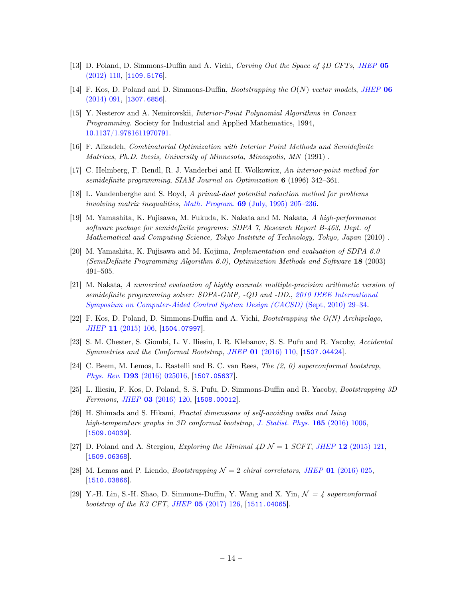- <span id="page-14-0"></span>[13] D. Poland, D. Simmons-Duffin and A. Vichi, Carving Out the Space of 4D CFTs, [JHEP](http://dx.doi.org/10.1007/JHEP05(2012)110) 05 [\(2012\) 110,](http://dx.doi.org/10.1007/JHEP05(2012)110) [[1109.5176](https://arxiv.org/abs/1109.5176)].
- <span id="page-14-1"></span>[14] F. Kos, D. Poland and D. Simmons-Duffin, *Bootstrapping the*  $O(N)$  vector models, [JHEP](http://dx.doi.org/10.1007/JHEP06(2014)091) 06 [\(2014\) 091,](http://dx.doi.org/10.1007/JHEP06(2014)091) [[1307.6856](https://arxiv.org/abs/1307.6856)].
- <span id="page-14-2"></span>[15] Y. Nesterov and A. Nemirovskii, Interior-Point Polynomial Algorithms in Convex Programming. Society for Industrial and Applied Mathematics, 1994, [10.1137/1.9781611970791.](http://dx.doi.org/10.1137/1.9781611970791)
- [16] F. Alizadeh, Combinatorial Optimization with Interior Point Methods and Semidefinite Matrices, Ph.D. thesis, University of Minnesota, Mineapolis, MN (1991) .
- [17] C. Helmberg, F. Rendl, R. J. Vanderbei and H. Wolkowicz, An interior-point method for semidefinite programming, SIAM Journal on Optimization 6 (1996) 342–361.
- [18] L. Vandenberghe and S. Boyd, A primal-dual potential reduction method for problems involving matrix inequalities, Math. Program. 69 [\(July, 1995\) 205–236.](http://dx.doi.org/10.1007/BF01585558)
- <span id="page-14-12"></span>[19] M. Yamashita, K. Fujisawa, M. Fukuda, K. Nakata and M. Nakata, A high-performance software package for semidefinite programs: SDPA 7, Research Report B-463, Dept. of Mathematical and Computing Science, Tokyo Institute of Technology, Tokyo, Japan (2010) .
- [20] M. Yamashita, K. Fujisawa and M. Kojima, Implementation and evaluation of SDPA 6.0 (SemiDefinite Programming Algorithm 6.0), Optimization Methods and Software 18 (2003) 491–505.
- <span id="page-14-3"></span>[21] M. Nakata, A numerical evaluation of highly accurate multiple-precision arithmetic version of semidefinite programming solver: SDPA-GMP, -QD and -DD., [2010 IEEE International](http://dx.doi.org/10.1109/CACSD.2010.5612693) [Symposium on Computer-Aided Control System Design \(CACSD\)](http://dx.doi.org/10.1109/CACSD.2010.5612693) (Sept, 2010) 29–34.
- <span id="page-14-4"></span>[22] F. Kos, D. Poland, D. Simmons-Duffin and A. Vichi, Bootstrapping the O(N) Archipelago, JHEP 11 [\(2015\) 106,](http://dx.doi.org/10.1007/JHEP11(2015)106) [[1504.07997](https://arxiv.org/abs/1504.07997)].
- <span id="page-14-6"></span>[23] S. M. Chester, S. Giombi, L. V. Iliesiu, I. R. Klebanov, S. S. Pufu and R. Yacoby, Accidental Symmetries and the Conformal Bootstrap, JHEP 01 [\(2016\) 110,](http://dx.doi.org/10.1007/JHEP01(2016)110) [[1507.04424](https://arxiv.org/abs/1507.04424)].
- <span id="page-14-11"></span>[24] C. Beem, M. Lemos, L. Rastelli and B. C. van Rees, The (2, 0) superconformal bootstrap, Phys. Rev. D93 [\(2016\) 025016,](http://dx.doi.org/10.1103/PhysRevD.93.025016) [[1507.05637](https://arxiv.org/abs/1507.05637)].
- <span id="page-14-7"></span>[25] L. Iliesiu, F. Kos, D. Poland, S. S. Pufu, D. Simmons-Duffin and R. Yacoby, Bootstrapping 3D Fermions, JHEP 03 [\(2016\) 120,](http://dx.doi.org/10.1007/JHEP03(2016)120) [[1508.00012](https://arxiv.org/abs/1508.00012)].
- <span id="page-14-8"></span>[26] H. Shimada and S. Hikami, Fractal dimensions of self-avoiding walks and Ising high-temperature graphs in 3D conformal bootstrap, [J. Statist. Phys.](http://dx.doi.org/10.1007/s10955-016-1658-x) 165 (2016) 1006, [[1509.04039](https://arxiv.org/abs/1509.04039)].
- <span id="page-14-9"></span>[27] D. Poland and A. Stergiou, *Exploring the Minimal*  $\angle D \mathcal{N} = 1$  *SCFT*, *JHEP* 12 [\(2015\) 121,](http://dx.doi.org/10.1007/JHEP12(2015)121) [[1509.06368](https://arxiv.org/abs/1509.06368)].
- <span id="page-14-10"></span>[28] M. Lemos and P. Liendo, *Bootstrapping*  $\mathcal{N} = 2$  *chiral correlators, JHEP* 01 [\(2016\) 025,](http://dx.doi.org/10.1007/JHEP01(2016)025) [[1510.03866](https://arxiv.org/abs/1510.03866)].
- <span id="page-14-5"></span>[29] Y.-H. Lin, S.-H. Shao, D. Simmons-Duffin, Y. Wang and X. Yin,  $\mathcal{N} = \mathcal{N}$  superconformal bootstrap of the K3 CFT, JHEP 05 [\(2017\) 126,](http://dx.doi.org/10.1007/JHEP05(2017)126) [[1511.04065](https://arxiv.org/abs/1511.04065)].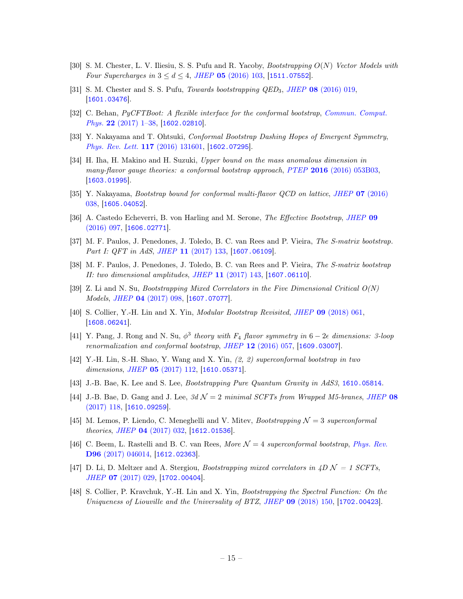- <span id="page-15-11"></span>[30] S. M. Chester, L. V. Iliesiu, S. S. Pufu and R. Yacoby, Bootstrapping O(N) Vector Models with Four Supercharges in  $3 < d < 4$ , JHEP 05 [\(2016\) 103,](http://dx.doi.org/10.1007/JHEP05(2016)103) [[1511.07552](https://arxiv.org/abs/1511.07552)].
- <span id="page-15-2"></span>[31] S. M. Chester and S. S. Pufu, Towards bootstrapping QED3, JHEP 08 [\(2016\) 019,](http://dx.doi.org/10.1007/JHEP08(2016)019) [[1601.03476](https://arxiv.org/abs/1601.03476)].
- [32] C. Behan, PyCFTBoot: A flexible interface for the conformal bootstrap, [Commun. Comput.](http://dx.doi.org/10.4208/cicp.OA-2016-0107) Phys. 22 [\(2017\) 1–38,](http://dx.doi.org/10.4208/cicp.OA-2016-0107) [[1602.02810](https://arxiv.org/abs/1602.02810)].
- <span id="page-15-3"></span>[33] Y. Nakayama and T. Ohtsuki, Conformal Bootstrap Dashing Hopes of Emergent Symmetry, [Phys. Rev. Lett.](http://dx.doi.org/10.1103/PhysRevLett.117.131601) 117 (2016) 131601, [[1602.07295](https://arxiv.org/abs/1602.07295)].
- <span id="page-15-6"></span>[34] H. Iha, H. Makino and H. Suzuki, Upper bound on the mass anomalous dimension in many-flavor gauge theories: a conformal bootstrap approach, PTEP 2016 [\(2016\) 053B03,](http://dx.doi.org/10.1093/ptep/ptw046) [[1603.01995](https://arxiv.org/abs/1603.01995)].
- <span id="page-15-7"></span>[35] Y. Nakayama, Bootstrap bound for conformal multi-flavor QCD on lattice, JHEP 07 [\(2016\)](http://dx.doi.org/10.1007/JHEP07(2016)038) [038,](http://dx.doi.org/10.1007/JHEP07(2016)038) [[1605.04052](https://arxiv.org/abs/1605.04052)].
- <span id="page-15-4"></span>[36] A. Castedo Echeverri, B. von Harling and M. Serone, The Effective Bootstrap, [JHEP](http://dx.doi.org/10.1007/JHEP09(2016)097) 09 [\(2016\) 097,](http://dx.doi.org/10.1007/JHEP09(2016)097) [[1606.02771](https://arxiv.org/abs/1606.02771)].
- <span id="page-15-15"></span>[37] M. F. Paulos, J. Penedones, J. Toledo, B. C. van Rees and P. Vieira, The S-matrix bootstrap. Part I: QFT in AdS, JHEP 11 [\(2017\) 133,](http://dx.doi.org/10.1007/JHEP11(2017)133) [[1607.06109](https://arxiv.org/abs/1607.06109)].
- <span id="page-15-16"></span>[38] M. F. Paulos, J. Penedones, J. Toledo, B. C. van Rees and P. Vieira, The S-matrix bootstrap II: two dimensional amplitudes, JHEP 11 [\(2017\) 143,](http://dx.doi.org/10.1007/JHEP11(2017)143) [[1607.06110](https://arxiv.org/abs/1607.06110)].
- <span id="page-15-10"></span>[39] Z. Li and N. Su, Bootstrapping Mixed Correlators in the Five Dimensional Critical O(N) Models, JHEP 04 [\(2017\) 098,](http://dx.doi.org/10.1007/JHEP04(2017)098) [[1607.07077](https://arxiv.org/abs/1607.07077)].
- <span id="page-15-13"></span>[40] S. Collier, Y.-H. Lin and X. Yin, Modular Bootstrap Revisited, JHEP 09 [\(2018\) 061,](http://dx.doi.org/10.1007/JHEP09(2018)061) [[1608.06241](https://arxiv.org/abs/1608.06241)].
- <span id="page-15-12"></span>[41] Y. Pang, J. Rong and N. Su,  $\phi^3$  theory with  $F_4$  flavor symmetry in  $6-2\epsilon$  dimensions: 3-loop renormalization and conformal bootstrap, JHEP 12 [\(2016\) 057,](http://dx.doi.org/10.1007/JHEP12(2016)057) [[1609.03007](https://arxiv.org/abs/1609.03007)].
- <span id="page-15-0"></span>[42] Y.-H. Lin, S.-H. Shao, Y. Wang and X. Yin, (2, 2) superconformal bootstrap in two dimensions, JHEP **05** [\(2017\) 112,](http://dx.doi.org/10.1007/JHEP05(2017)112) [[1610.05371](https://arxiv.org/abs/1610.05371)].
- <span id="page-15-14"></span>[43] J.-B. Bae, K. Lee and S. Lee, Bootstrapping Pure Quantum Gravity in AdS3, [1610.05814](https://arxiv.org/abs/1610.05814).
- <span id="page-15-5"></span>[44] J.-B. Bae, D. Gang and J. Lee,  $3d \mathcal{N} = 2$  minimal SCFTs from Wrapped M5-branes, [JHEP](http://dx.doi.org/10.1007/JHEP08(2017)118) 08 [\(2017\) 118,](http://dx.doi.org/10.1007/JHEP08(2017)118) [[1610.09259](https://arxiv.org/abs/1610.09259)].
- <span id="page-15-8"></span>[45] M. Lemos, P. Liendo, C. Meneghelli and V. Mitev, *Bootstrapping*  $\mathcal{N} = 3$  superconformal theories, JHEP 04 [\(2017\) 032,](http://dx.doi.org/10.1007/JHEP04(2017)032) [[1612.01536](https://arxiv.org/abs/1612.01536)].
- [46] C. Beem, L. Rastelli and B. C. van Rees, More  $\mathcal{N}=4$  superconformal bootstrap, [Phys. Rev.](http://dx.doi.org/10.1103/PhysRevD.96.046014) D96 [\(2017\) 046014,](http://dx.doi.org/10.1103/PhysRevD.96.046014) [[1612.02363](https://arxiv.org/abs/1612.02363)].
- <span id="page-15-9"></span>[47] D. Li, D. Meltzer and A. Stergiou, Bootstrapping mixed correlators in  $4D N = 1$  SCFTs, JHEP 07 [\(2017\) 029,](http://dx.doi.org/10.1007/JHEP07(2017)029) [[1702.00404](https://arxiv.org/abs/1702.00404)].
- <span id="page-15-1"></span>[48] S. Collier, P. Kravchuk, Y.-H. Lin and X. Yin, Bootstrapping the Spectral Function: On the Uniqueness of Liouville and the Universality of BTZ, JHEP 09 [\(2018\) 150,](http://dx.doi.org/10.1007/JHEP09(2018)150) [[1702.00423](https://arxiv.org/abs/1702.00423)].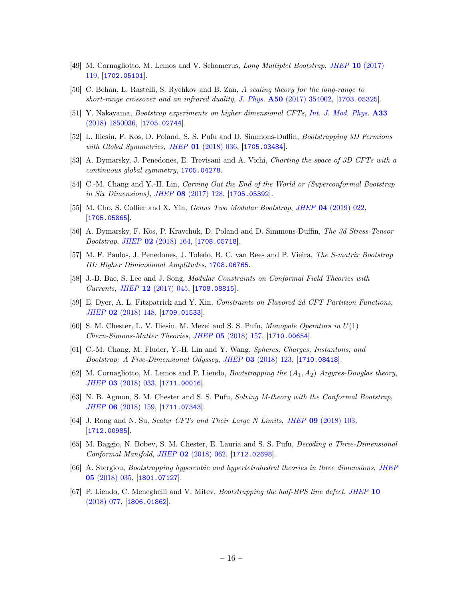- <span id="page-16-0"></span>[49] M. Cornagliotto, M. Lemos and V. Schomerus, Long Multiplet Bootstrap, JHEP 10 [\(2017\)](http://dx.doi.org/10.1007/JHEP10(2017)119) [119,](http://dx.doi.org/10.1007/JHEP10(2017)119) [[1702.05101](https://arxiv.org/abs/1702.05101)].
- <span id="page-16-12"></span>[50] C. Behan, L. Rastelli, S. Rychkov and B. Zan, A scaling theory for the long-range to short-range crossover and an infrared duality, J. Phys.  $A50$  [\(2017\) 354002,](http://dx.doi.org/10.1088/1751-8121/aa8099) [[1703.05325](https://arxiv.org/abs/1703.05325)].
- <span id="page-16-10"></span>[51] Y. Nakayama, Bootstrap experiments on higher dimensional CFTs, [Int. J. Mod. Phys.](http://dx.doi.org/10.1142/S0217751X18500367) A33 [\(2018\) 1850036,](http://dx.doi.org/10.1142/S0217751X18500367) [[1705.02744](https://arxiv.org/abs/1705.02744)].
- <span id="page-16-1"></span>[52] L. Iliesiu, F. Kos, D. Poland, S. S. Pufu and D. Simmons-Duffin, Bootstrapping 3D Fermions with Global Symmetries, JHEP 01 [\(2018\) 036,](http://dx.doi.org/10.1007/JHEP01(2018)036) [[1705.03484](https://arxiv.org/abs/1705.03484)].
- <span id="page-16-2"></span>[53] A. Dymarsky, J. Penedones, E. Trevisani and A. Vichi, Charting the space of 3D CFTs with a continuous global symmetry, [1705.04278](https://arxiv.org/abs/1705.04278).
- <span id="page-16-9"></span>[54] C.-M. Chang and Y.-H. Lin, *Carving Out the End of the World or (Superconformal Bootstrap*) in Six Dimensions), JHEP 08 [\(2017\) 128,](http://dx.doi.org/10.1007/JHEP08(2017)128) [[1705.05392](https://arxiv.org/abs/1705.05392)].
- <span id="page-16-13"></span>[55] M. Cho, S. Collier and X. Yin, Genus Two Modular Bootstrap, JHEP 04 [\(2019\) 022,](http://dx.doi.org/10.1007/JHEP04(2019)022) [[1705.05865](https://arxiv.org/abs/1705.05865)].
- <span id="page-16-3"></span>[56] A. Dymarsky, F. Kos, P. Kravchuk, D. Poland and D. Simmons-Duffin, The 3d Stress-Tensor Bootstrap, JHEP 02 [\(2018\) 164,](http://dx.doi.org/10.1007/JHEP02(2018)164) [[1708.05718](https://arxiv.org/abs/1708.05718)].
- <span id="page-16-16"></span>[57] M. F. Paulos, J. Penedones, J. Toledo, B. C. van Rees and P. Vieira, The S-matrix Bootstrap III: Higher Dimensional Amplitudes, [1708.06765](https://arxiv.org/abs/1708.06765).
- <span id="page-16-14"></span>[58] J.-B. Bae, S. Lee and J. Song, Modular Constraints on Conformal Field Theories with Currents, JHEP 12 [\(2017\) 045,](http://dx.doi.org/10.1007/JHEP12(2017)045) [[1708.08815](https://arxiv.org/abs/1708.08815)].
- <span id="page-16-15"></span>[59] E. Dyer, A. L. Fitzpatrick and Y. Xin, Constraints on Flavored 2d CFT Partition Functions, JHEP 02 [\(2018\) 148,](http://dx.doi.org/10.1007/JHEP02(2018)148) [[1709.01533](https://arxiv.org/abs/1709.01533)].
- <span id="page-16-4"></span>[60] S. M. Chester, L. V. Iliesiu, M. Mezei and S. S. Pufu, Monopole Operators in U(1) Chern-Simons-Matter Theories, JHEP 05 [\(2018\) 157,](http://dx.doi.org/10.1007/JHEP05(2018)157) [[1710.00654](https://arxiv.org/abs/1710.00654)].
- <span id="page-16-8"></span>[61] C.-M. Chang, M. Fluder, Y.-H. Lin and Y. Wang, Spheres, Charges, Instantons, and Bootstrap: A Five-Dimensional Odyssey, JHEP 03 [\(2018\) 123,](http://dx.doi.org/10.1007/JHEP03(2018)123) [[1710.08418](https://arxiv.org/abs/1710.08418)].
- <span id="page-16-7"></span>[62] M. Cornagliotto, M. Lemos and P. Liendo, *Bootstrapping the*  $(A_1, A_2)$  Argyres-Douglas theory, JHEP 03 [\(2018\) 033,](http://dx.doi.org/10.1007/JHEP03(2018)033) [[1711.00016](https://arxiv.org/abs/1711.00016)].
- <span id="page-16-5"></span>[63] N. B. Agmon, S. M. Chester and S. S. Pufu, Solving M-theory with the Conformal Bootstrap, JHEP 06 [\(2018\) 159,](http://dx.doi.org/10.1007/JHEP06(2018)159) [[1711.07343](https://arxiv.org/abs/1711.07343)].
- [64] J. Rong and N. Su, Scalar CFTs and Their Large N Limits, JHEP 09 [\(2018\) 103,](http://dx.doi.org/10.1007/JHEP09(2018)103) [[1712.00985](https://arxiv.org/abs/1712.00985)].
- [65] M. Baggio, N. Bobev, S. M. Chester, E. Lauria and S. S. Pufu, Decoding a Three-Dimensional Conformal Manifold, JHEP 02 [\(2018\) 062,](http://dx.doi.org/10.1007/JHEP02(2018)062) [[1712.02698](https://arxiv.org/abs/1712.02698)].
- <span id="page-16-6"></span>[66] A. Stergiou, *Bootstrapping hypercubic and hypertetrahedral theories in three dimensions*, *[JHEP](http://dx.doi.org/10.1007/JHEP05(2018)035)* 05 [\(2018\) 035,](http://dx.doi.org/10.1007/JHEP05(2018)035) [[1801.07127](https://arxiv.org/abs/1801.07127)].
- <span id="page-16-11"></span>[67] P. Liendo, C. Meneghelli and V. Mitev, Bootstrapping the half-BPS line defect, [JHEP](http://dx.doi.org/10.1007/JHEP10(2018)077) 10  $(2018)$  077, |[1806.01862](https://arxiv.org/abs/1806.01862)|.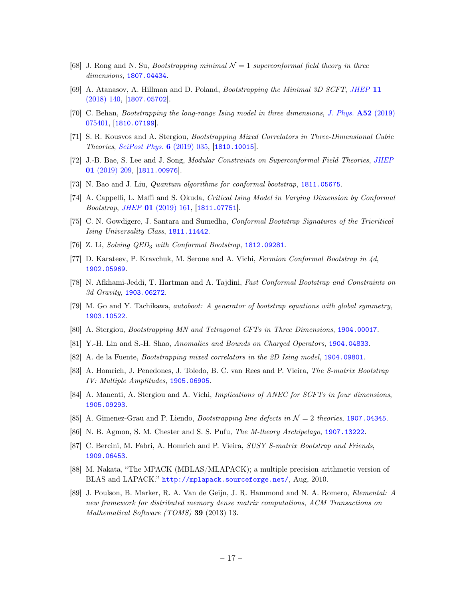- <span id="page-17-7"></span>[68] J. Rong and N. Su, *Bootstrapping minimal*  $\mathcal{N} = 1$  superconformal field theory in three dimensions, [1807.04434](https://arxiv.org/abs/1807.04434).
- <span id="page-17-2"></span>[69] A. Atanasov, A. Hillman and D. Poland, Bootstrapping the Minimal 3D SCFT, [JHEP](http://dx.doi.org/10.1007/JHEP11(2018)140) 11 [\(2018\) 140,](http://dx.doi.org/10.1007/JHEP11(2018)140) [[1807.05702](https://arxiv.org/abs/1807.05702)].
- <span id="page-17-13"></span>[70] C. Behan, Bootstrapping the long-range Ising model in three dimensions, [J. Phys.](http://dx.doi.org/10.1088/1751-8121/aafd1b) A52 (2019) [075401,](http://dx.doi.org/10.1088/1751-8121/aafd1b) [[1810.07199](https://arxiv.org/abs/1810.07199)].
- <span id="page-17-3"></span>[71] S. R. Kousvos and A. Stergiou, Bootstrapping Mixed Correlators in Three-Dimensional Cubic Theories, [SciPost Phys.](http://dx.doi.org/10.21468/SciPostPhys.6.3.035) 6 (2019) 035, [[1810.10015](https://arxiv.org/abs/1810.10015)].
- <span id="page-17-14"></span>[72] J.-B. Bae, S. Lee and J. Song, Modular Constraints on Superconformal Field Theories, [JHEP](http://dx.doi.org/10.1007/JHEP01(2019)209) 01 [\(2019\) 209,](http://dx.doi.org/10.1007/JHEP01(2019)209) [[1811.00976](https://arxiv.org/abs/1811.00976)].
- <span id="page-17-21"></span>[73] N. Bao and J. Liu, Quantum algorithms for conformal bootstrap, [1811.05675](https://arxiv.org/abs/1811.05675).
- <span id="page-17-10"></span>[74] A. Cappelli, L. Maffi and S. Okuda, Critical Ising Model in Varying Dimension by Conformal Bootstrap, JHEP 01 [\(2019\) 161,](http://dx.doi.org/10.1007/JHEP01(2019)161) [[1811.07751](https://arxiv.org/abs/1811.07751)].
- <span id="page-17-11"></span>[75] C. N. Gowdigere, J. Santara and Sumedha, Conformal Bootstrap Signatures of the Tricritical Ising Universality Class, [1811.11442](https://arxiv.org/abs/1811.11442).
- <span id="page-17-4"></span>[76] Z. Li, Solving QED<sub>3</sub> with Conformal Bootstrap, [1812.09281](https://arxiv.org/abs/1812.09281).
- <span id="page-17-8"></span>[77] D. Karateev, P. Kravchuk, M. Serone and A. Vichi, Fermion Conformal Bootstrap in 4d, [1902.05969](https://arxiv.org/abs/1902.05969).
- <span id="page-17-15"></span>[78] N. Afkhami-Jeddi, T. Hartman and A. Tajdini, Fast Conformal Bootstrap and Constraints on 3d Gravity, [1903.06272](https://arxiv.org/abs/1903.06272).
- <span id="page-17-20"></span>[79] M. Go and Y. Tachikawa, autoboot: A generator of bootstrap equations with global symmetry, [1903.10522](https://arxiv.org/abs/1903.10522).
- <span id="page-17-5"></span>[80] A. Stergiou, Bootstrapping MN and Tetragonal CFTs in Three Dimensions, [1904.00017](https://arxiv.org/abs/1904.00017).
- <span id="page-17-16"></span>[81] Y.-H. Lin and S.-H. Shao, Anomalies and Bounds on Charged Operators, [1904.04833](https://arxiv.org/abs/1904.04833).
- <span id="page-17-1"></span>[82] A. de la Fuente, Bootstrapping mixed correlators in the 2D Ising model, [1904.09801](https://arxiv.org/abs/1904.09801).
- <span id="page-17-17"></span>[83] A. Homrich, J. Penedones, J. Toledo, B. C. van Rees and P. Vieira, The S-matrix Bootstrap IV: Multiple Amplitudes, [1905.06905](https://arxiv.org/abs/1905.06905).
- <span id="page-17-9"></span>[84] A. Manenti, A. Stergiou and A. Vichi, *Implications of ANEC for SCFTs in four dimensions*, [1905.09293](https://arxiv.org/abs/1905.09293).
- <span id="page-17-12"></span>[85] A. Gimenez-Grau and P. Liendo, *Bootstrapping line defects in*  $\mathcal{N}=2$  theories, [1907.04345](https://arxiv.org/abs/1907.04345).
- <span id="page-17-6"></span>[86] N. B. Agmon, S. M. Chester and S. S. Pufu, The M-theory Archipelago, [1907.13222](https://arxiv.org/abs/1907.13222).
- <span id="page-17-0"></span>[87] C. Bercini, M. Fabri, A. Homrich and P. Vieira, *SUSY S-matrix Bootstrap and Friends*, [1909.06453](https://arxiv.org/abs/1909.06453).
- <span id="page-17-18"></span>[88] M. Nakata, "The MPACK (MBLAS/MLAPACK); a multiple precision arithmetic version of BLAS and LAPACK." <http://mplapack.sourceforge.net/>, Aug, 2010.
- <span id="page-17-19"></span>[89] J. Poulson, B. Marker, R. A. Van de Geijn, J. R. Hammond and N. A. Romero, Elemental: A new framework for distributed memory dense matrix computations, ACM Transactions on Mathematical Software (TOMS) 39 (2013) 13.